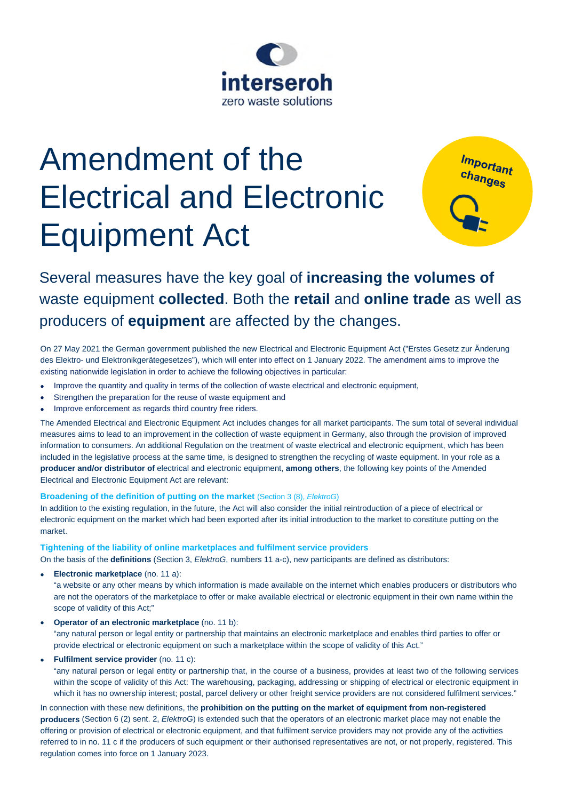

# Amendment of the Electrical and Electronic Equipment Act

Important<br>changes

# Several measures have the key goal of **increasing the volumes of** waste equipment **collected**. Both the **retail** and **online trade** as well as producers of **equipment** are affected by the changes.

On 27 May 2021 the German government published the new Electrical and Electronic Equipment Act ("Erstes Gesetz zur Änderung des Elektro- und Elektronikgerätegesetzes"), which will enter into effect on 1 January 2022. The amendment aims to improve the existing nationwide legislation in order to achieve the following objectives in particular:

- Improve the quantity and quality in terms of the collection of waste electrical and electronic equipment,
- Strengthen the preparation for the reuse of waste equipment and
- Improve enforcement as regards third country free riders.

The Amended Electrical and Electronic Equipment Act includes changes for all market participants. The sum total of several individual measures aims to lead to an improvement in the collection of waste equipment in Germany, also through the provision of improved information to consumers. An additional Regulation on the treatment of waste electrical and electronic equipment, which has been included in the legislative process at the same time, is designed to strengthen the recycling of waste equipment. In your role as a **producer and/or distributor of** electrical and electronic equipment, **among others**, the following key points of the Amended Electrical and Electronic Equipment Act are relevant:

# **Broadening of the definition of putting on the market** (Section 3 (8), *ElektroG*)

In addition to the existing regulation, in the future, the Act will also consider the initial reintroduction of a piece of electrical or electronic equipment on the market which had been exported after its initial introduction to the market to constitute putting on the market.

# **Tightening of the liability of online marketplaces and fulfilment service providers**

On the basis of the **definitions** (Section 3, *ElektroG*, numbers 11 a-c), new participants are defined as distributors:

**Electronic marketplace** (no. 11 a):

"a website or any other means by which information is made available on the internet which enables producers or distributors who are not the operators of the marketplace to offer or make available electrical or electronic equipment in their own name within the scope of validity of this Act;"

**Operator of an electronic marketplace** (no. 11 b):

"any natural person or legal entity or partnership that maintains an electronic marketplace and enables third parties to offer or provide electrical or electronic equipment on such a marketplace within the scope of validity of this Act."

**Fulfilment service provider** (no. 11 c):

"any natural person or legal entity or partnership that, in the course of a business, provides at least two of the following services within the scope of validity of this Act: The warehousing, packaging, addressing or shipping of electrical or electronic equipment in which it has no ownership interest; postal, parcel delivery or other freight service providers are not considered fulfilment services."

In connection with these new definitions, the **prohibition on the putting on the market of equipment from non-registered producers** (Section 6 (2) sent. 2, *ElektroG*) is extended such that the operators of an electronic market place may not enable the offering or provision of electrical or electronic equipment, and that fulfilment service providers may not provide any of the activities referred to in no. 11 c if the producers of such equipment or their authorised representatives are not, or not properly, registered. This regulation comes into force on 1 January 2023.